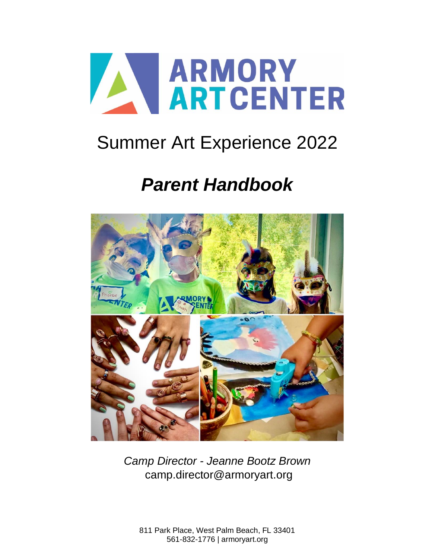

# Summer Art Experience 2022

# *Parent Handbook*



*Camp Director - Jeanne Bootz Brown* [camp.director@armoryart.org](mailto:camp.director@armoryart.org)

811 Park Place, West Palm Beach, FL 33401 561-832-1776 | armoryart.org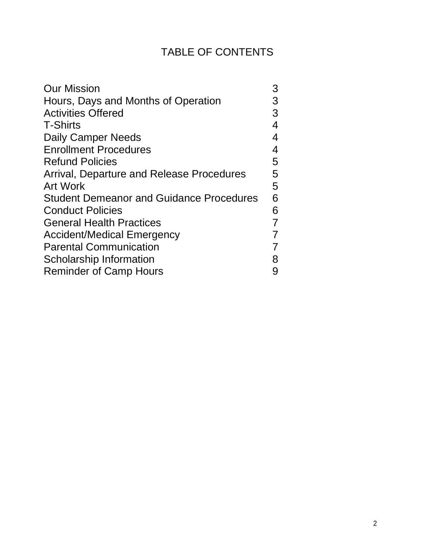# TABLE OF CONTENTS

| <b>Our Mission</b>                              | 3 |
|-------------------------------------------------|---|
| Hours, Days and Months of Operation             | 3 |
| <b>Activities Offered</b>                       | 3 |
| <b>T-Shirts</b>                                 | 4 |
| <b>Daily Camper Needs</b>                       | 4 |
| <b>Enrollment Procedures</b>                    | 4 |
| <b>Refund Policies</b>                          | 5 |
| Arrival, Departure and Release Procedures       | 5 |
| <b>Art Work</b>                                 | 5 |
| <b>Student Demeanor and Guidance Procedures</b> | 6 |
| <b>Conduct Policies</b>                         | 6 |
| <b>General Health Practices</b>                 | 7 |
| <b>Accident/Medical Emergency</b>               | 7 |
| <b>Parental Communication</b>                   | 7 |
| <b>Scholarship Information</b>                  | 8 |
| <b>Reminder of Camp Hours</b>                   | 9 |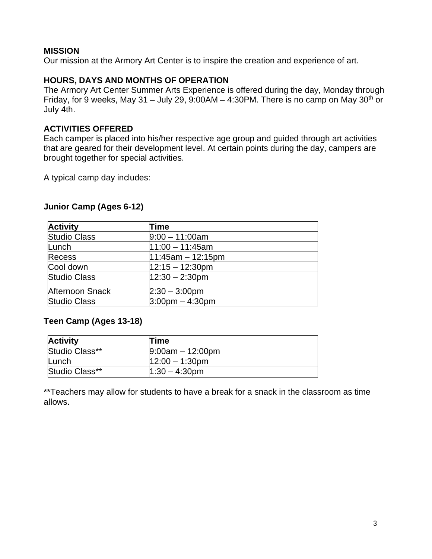#### **MISSION**

Our mission at the Armory Art Center is to inspire the creation and experience of art.

#### <span id="page-2-0"></span>**HOURS, DAYS AND MONTHS OF OPERATION**

The Armory Art Center Summer Arts Experience is offered during the day, Monday through Friday, for 9 weeks, May 31 – July 29, 9:00AM – 4:30PM. There is no camp on May 30<sup>th</sup> or July 4th.

#### <span id="page-2-1"></span>**ACTIVITIES OFFERED**

Each camper is placed into his/her respective age group and guided through art activities that are geared for their development level. At certain points during the day, campers are brought together for special activities.

A typical camp day includes:

#### **Junior Camp (Ages 6-12)**

| <b>Activity</b>     | Time                 |
|---------------------|----------------------|
| <b>Studio Class</b> | $9:00 - 11:00$ am    |
| Lunch               | $11:00 - 11:45am$    |
| Recess              | $11:45am - 12:15pm$  |
| Cool down           | $12:15 - 12:30$ pm   |
| <b>Studio Class</b> | $12:30 - 2:30$ pm    |
| Afternoon Snack     | $2:30 - 3:00$ pm     |
| <b>Studio Class</b> | $3:00$ pm $-4:30$ pm |

#### **Teen Camp (Ages 13-18)**

| <b>Activity</b> | <b>Time</b>        |  |
|-----------------|--------------------|--|
| Studio Class**  | $9:00am - 12:00pm$ |  |
| Lunch           | $12:00 - 1:30$ pm  |  |
| Studio Class**  | $1:30 - 4:30pm$    |  |

\*\*Teachers may allow for students to have a break for a snack in the classroom as time allows.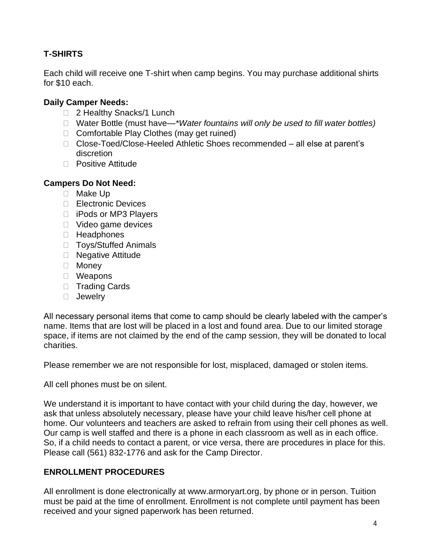## <span id="page-3-0"></span>**T-SHIRTS**

Each child will receive one T-shirt when camp begins. You may purchase additional shirts for \$10 each.

#### <span id="page-3-1"></span>**Daily Camper Needs:**

- □ 2 Healthy Snacks/1 Lunch
- Water Bottle (must have—*\*Water fountains will only be used to fill water bottles)*
- □ Comfortable Play Clothes (may get ruined)
- □ Close-Toed/Close-Heeled Athletic Shoes recommended all else at parent's discretion
- □ Positive Attitude

#### **Campers Do Not Need:**

- □ Make Up
- □ Electronic Devices
- □ iPods or MP3 Players
- □ Video game devices
- □ Headphones
- □ Toys/Stuffed Animals
- □ Negative Attitude
- Money
- Weapons
- □ Trading Cards
- **D** Jewelry

All necessary personal items that come to camp should be clearly labeled with the camper's name. Items that are lost will be placed in a lost and found area. Due to our limited storage space, if items are not claimed by the end of the camp session, they will be donated to local charities.

Please remember we are not responsible for lost, misplaced, damaged or stolen items.

All cell phones must be on silent.

We understand it is important to have contact with your child during the day, however, we ask that unless absolutely necessary, please have your child leave his/her cell phone at home. Our volunteers and teachers are asked to refrain from using their cell phones as well. Our camp is well staffed and there is a phone in each classroom as well as in each office. So, if a child needs to contact a parent, or vice versa, there are procedures in place for this. Please call (561) 832-1776 and ask for the Camp Director.

#### <span id="page-3-2"></span>**ENROLLMENT PROCEDURES**

All enrollment is done electronically at [www.armoryart.org, b](http://www.armoryart.org/)y phone or in person. Tuition must be paid at the time of enrollment. Enrollment is not complete until payment has been received and your signed paperwork has been returned.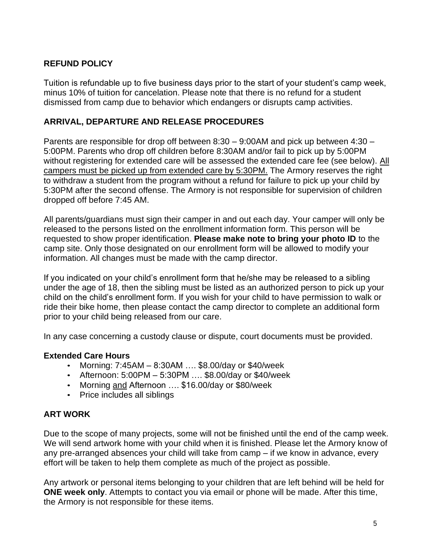#### **REFUND POLICY**

Tuition is refundable up to five business days prior to the start of your student's camp week, minus 10% of tuition for cancelation. Please note that there is no refund for a student dismissed from camp due to behavior which endangers or disrupts camp activities.

#### <span id="page-4-0"></span>**ARRIVAL, DEPARTURE AND RELEASE PROCEDURES**

Parents are responsible for drop off between 8:30 – 9:00AM and pick up between 4:30 – 5:00PM. Parents who drop off children before 8:30AM and/or fail to pick up by 5:00PM without registering for extended care will be assessed the extended care fee (see below). All campers must be picked up from extended care by 5:30PM. The Armory reserves the right to withdraw a student from the program without a refund for failure to pick up your child by 5:30PM after the second offense. The Armory is not responsible for supervision of children dropped off before 7:45 AM.

All parents/guardians must sign their camper in and out each day. Your camper will only be released to the persons listed on the enrollment information form. This person will be requested to show proper identification. **Please make note to bring your photo ID** to the camp site. Only those designated on our enrollment form will be allowed to modify your information. All changes must be made with the camp director.

If you indicated on your child's enrollment form that he/she may be released to a sibling under the age of 18, then the sibling must be listed as an authorized person to pick up your child on the child's enrollment form. If you wish for your child to have permission to walk or ride their bike home, then please contact the camp director to complete an additional form prior to your child being released from our care.

In any case concerning a custody clause or dispute, court documents must be provided.

#### **Extended Care Hours**

- Morning: 7:45AM 8:30AM …. \$8.00/day or \$40/week
- Afternoon: 5:00PM 5:30PM …. \$8.00/day or \$40/week
- Morning and Afternoon …. \$16.00/day or \$80/week
- Price includes all siblings

#### <span id="page-4-1"></span>**ART WORK**

Due to the scope of many projects, some will not be finished until the end of the camp week. We will send artwork home with your child when it is finished. Please let the Armory know of any pre-arranged absences your child will take from camp – if we know in advance, every effort will be taken to help them complete as much of the project as possible.

Any artwork or personal items belonging to your children that are left behind will be held for **ONE week only**. Attempts to contact you via email or phone will be made. After this time, the Armory is not responsible for these items.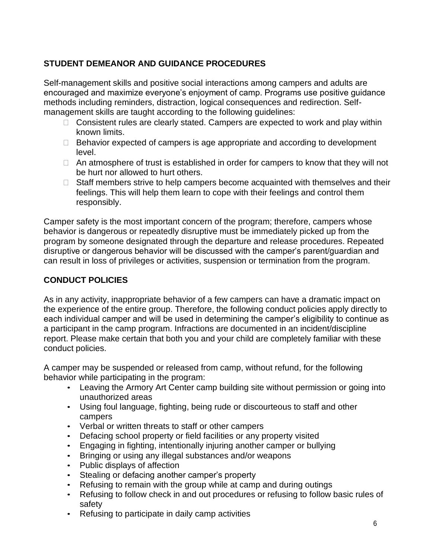## <span id="page-5-0"></span>**STUDENT DEMEANOR AND GUIDANCE PROCEDURES**

Self-management skills and positive social interactions among campers and adults are encouraged and maximize everyone's enjoyment of camp. Programs use positive guidance methods including reminders, distraction, logical consequences and redirection. Selfmanagement skills are taught according to the following guidelines:

- $\Box$  Consistent rules are clearly stated. Campers are expected to work and play within known limits.
- $\Box$  Behavior expected of campers is age appropriate and according to development level.
- $\Box$  An atmosphere of trust is established in order for campers to know that they will not be hurt nor allowed to hurt others.
- $\Box$  Staff members strive to help campers become acquainted with themselves and their feelings. This will help them learn to cope with their feelings and control them responsibly.

Camper safety is the most important concern of the program; therefore, campers whose behavior is dangerous or repeatedly disruptive must be immediately picked up from the program by someone designated through the departure and release procedures. Repeated disruptive or dangerous behavior will be discussed with the camper's parent/guardian and can result in loss of privileges or activities, suspension or termination from the program.

### <span id="page-5-1"></span>**CONDUCT POLICIES**

As in any activity, inappropriate behavior of a few campers can have a dramatic impact on the experience of the entire group. Therefore, the following conduct policies apply directly to each individual camper and will be used in determining the camper's eligibility to continue as a participant in the camp program. Infractions are documented in an incident/discipline report. Please make certain that both you and your child are completely familiar with these conduct policies.

A camper may be suspended or released from camp, without refund, for the following behavior while participating in the program:

- Leaving the Armory Art Center camp building site without permission or going into unauthorized areas
- Using foul language, fighting, being rude or discourteous to staff and other campers
- Verbal or written threats to staff or other campers
- Defacing school property or field facilities or any property visited
- Engaging in fighting, intentionally injuring another camper or bullying
- Bringing or using any illegal substances and/or weapons
- Public displays of affection
- Stealing or defacing another camper's property
- Refusing to remain with the group while at camp and during outings
- Refusing to follow check in and out procedures or refusing to follow basic rules of safety
- Refusing to participate in daily camp activities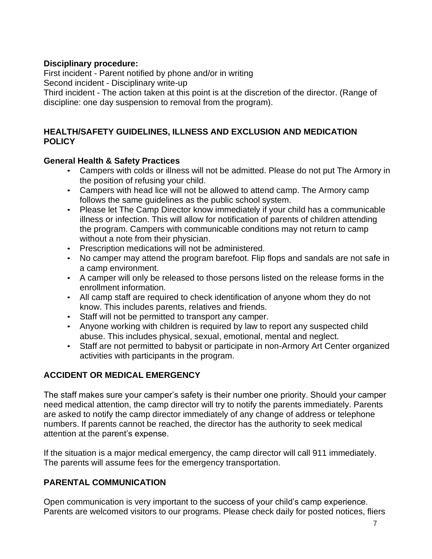#### **Disciplinary procedure:**

First incident - Parent notified by phone and/or in writing

Second incident - Disciplinary write-up

Third incident - The action taken at this point is at the discretion of the director. (Range of discipline: one day suspension to removal from the program).

#### **HEALTH/SAFETY GUIDELINES, ILLNESS AND EXCLUSION AND MEDICATION POLICY**

#### <span id="page-6-0"></span>**General Health & Safety Practices**

- Campers with colds or illness will not be admitted. Please do not put The Armory in the position of refusing your child.
- Campers with head lice will not be allowed to attend camp. The Armory camp follows the same guidelines as the public school system.
- Please let The Camp Director know immediately if your child has a communicable illness or infection. This will allow for notification of parents of children attending the program. Campers with communicable conditions may not return to camp without a note from their physician.
- Prescription medications will not be administered.
- No camper may attend the program barefoot. Flip flops and sandals are not safe in a camp environment.
- A camper will only be released to those persons listed on the release forms in the enrollment information.
- All camp staff are required to check identification of anyone whom they do not know. This includes parents, relatives and friends.
- Staff will not be permitted to transport any camper.
- Anyone working with children is required by law to report any suspected child abuse. This includes physical, sexual, emotional, mental and neglect.
- Staff are not permitted to babysit or participate in non-Armory Art Center organized activities with participants in the program.

#### **ACCIDENT OR MEDICAL EMERGENCY**

The staff makes sure your camper's safety is their number one priority. Should your camper need medical attention, the camp director will try to notify the parents immediately. Parents are asked to notify the camp director immediately of any change of address or telephone numbers. If parents cannot be reached, the director has the authority to seek medical attention at the parent's expense.

If the situation is a major medical emergency, the camp director will call 911 immediately. The parents will assume fees for the emergency transportation.

### <span id="page-6-1"></span>**PARENTAL COMMUNICATION**

Open communication is very important to the success of your child's camp experience. Parents are welcomed visitors to our programs. Please check daily for posted notices, fliers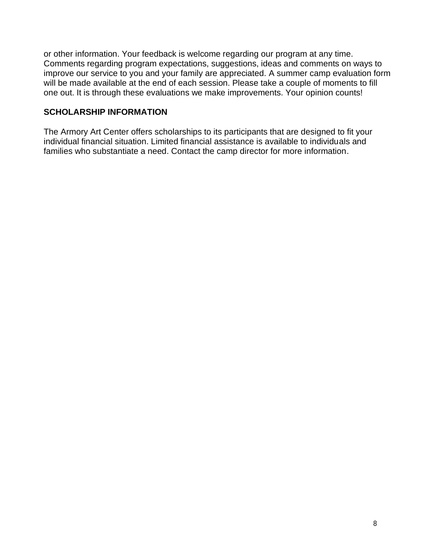or other information. Your feedback is welcome regarding our program at any time. Comments regarding program expectations, suggestions, ideas and comments on ways to improve our service to you and your family are appreciated. A summer camp evaluation form will be made available at the end of each session. Please take a couple of moments to fill one out. It is through these evaluations we make improvements. Your opinion counts!

#### <span id="page-7-0"></span>**SCHOLARSHIP INFORMATION**

The Armory Art Center offers scholarships to its participants that are designed to fit your individual financial situation. Limited financial assistance is available to individuals and families who substantiate a need. Contact the camp director for more information.